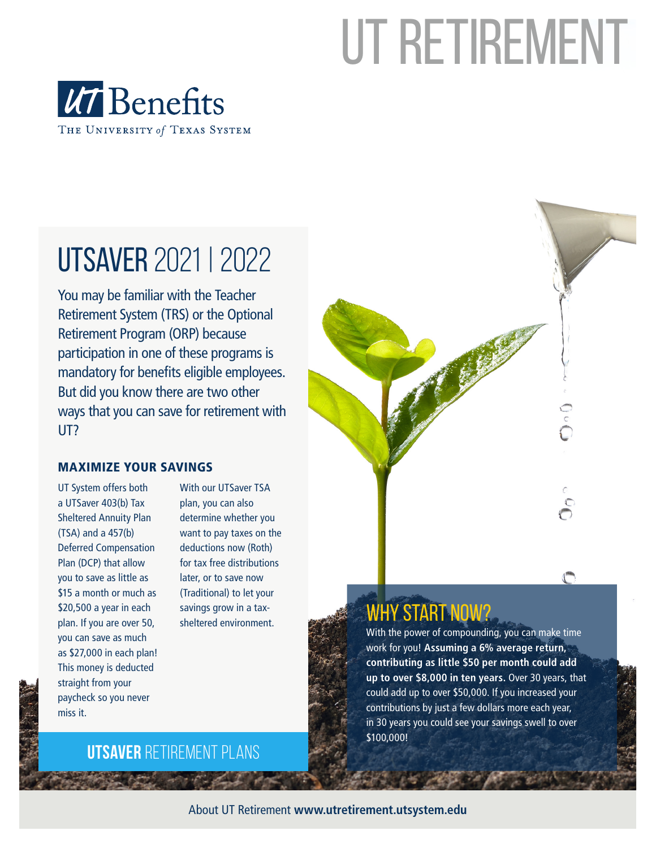# UT RETIREMENT



# UTSAVER 2021 | 2022

You may be familiar with the Teacher Retirement System (TRS) or the Optional Retirement Program (ORP) because participation in one of these programs is mandatory for benefits eligible employees. But did you know there are two other ways that you can save for retirement with UT?

#### MAXIMIZE YOUR SAVINGS

UT System offers both a UTSaver 403(b) Tax Sheltered Annuity Plan (TSA) and a 457(b) Deferred Compensation Plan (DCP) that allow you to save as little as \$15 a month or much as \$20,500 a year in each plan. If you are over 50, you can save as much as \$27,000 in each plan! This money is deducted straight from your paycheck so you never miss it.

With our UTSaver TSA plan, you can also determine whether you want to pay taxes on the deductions now (Roth) for tax free distributions later, or to save now (Traditional) to let your savings grow in a tax-



## savings grow in a tax-<br>sheltered environment. WHY START NOW?

With the power of compounding, you can make time work for you! **Assuming a 6% average return, contributing as little \$50 per month could add up to over \$8,000 in ten years.** Over 30 years, that could add up to over \$50,000. If you increased your contributions by just a few dollars more each year, in 30 years you could see your savings swell to over \$100,000!

### **UTSAVER** retirement plans